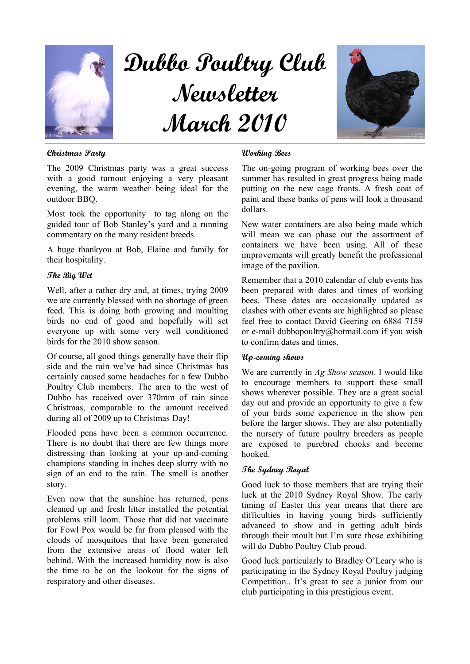

# Dubbo Poultry Club Newsletter March 2010



# Christmas Party

The 2009 Christmas party was a great success with a good turnout enjoying a very pleasant evening, the warm weather being ideal for the outdoor BBQ.

Most took the opportunity to tag along on the guided tour of Bob Stanley's yard and a running commentary on the many resident breeds.

A huge thankyou at Bob, Elaine and family for their hospitality.

## The Big Wet

Well, after a rather dry and, at times, trying 2009 we are currently blessed with no shortage of green feed. This is doing both growing and moulting birds no end of good and hopefully will set everyone up with some very well conditioned birds for the 2010 show season.

Of course, all good things generally have their flip side and the rain we've had since Christmas has certainly caused some headaches for a few Dubbo Poultry Club members. The area to the west of Dubbo has received over 370mm of rain since Christmas, comparable to the amount received during all of 2009 up to Christmas Day!

Flooded pens have been a common occurrence. There is no doubt that there are few things more distressing than looking at your up-and-coming champions standing in inches deep slurry with no sign of an end to the rain. The smell is another story.

Even now that the sunshine has returned, pens cleaned up and fresh litter installed the potential problems still loom. Those that did not vaccinate for Fowl Pox would be far from pleased with the clouds of mosquitoes that have been generated from the extensive areas of flood water left behind. With the increased humidity now is also the time to be on the lookout for the signs of respiratory and other diseases.

#### Working Bees

The on-going program of working bees over the summer has resulted in great progress being made putting on the new cage fronts. A fresh coat of paint and these banks of pens will look a thousand dollars.

New water containers are also being made which will mean we can phase out the assortment of containers we have been using. All of these improvements will greatly benefit the professional image of the pavilion.

Remember that a 2010 calendar of club events has been prepared with dates and times of working bees. These dates are occasionally updated as clashes with other events are highlighted so please feel free to contact David Geering on 6884 7159 or e-mail dubbopoultry@hotmail.com if you wish to confirm dates and times.

#### Up-coming shows

We are currently in Ag Show season. I would like to encourage members to support these small shows wherever possible. They are a great social day out and provide an opportunity to give a few of your birds some experience in the show pen before the larger shows. They are also potentially the nursery of future poultry breeders as people are exposed to purebred chooks and become hooked.

## The Sydney Royal

Good luck to those members that are trying their luck at the 2010 Sydney Royal Show. The early timing of Easter this year means that there are difficulties in having young birds sufficiently advanced to show and in getting adult birds through their moult but I'm sure those exhibiting will do Dubbo Poultry Club proud.

Good luck particularly to Bradley O'Leary who is participating in the Sydney Royal Poultry judging Competition.. It's great to see a junior from our club participating in this prestigious event.